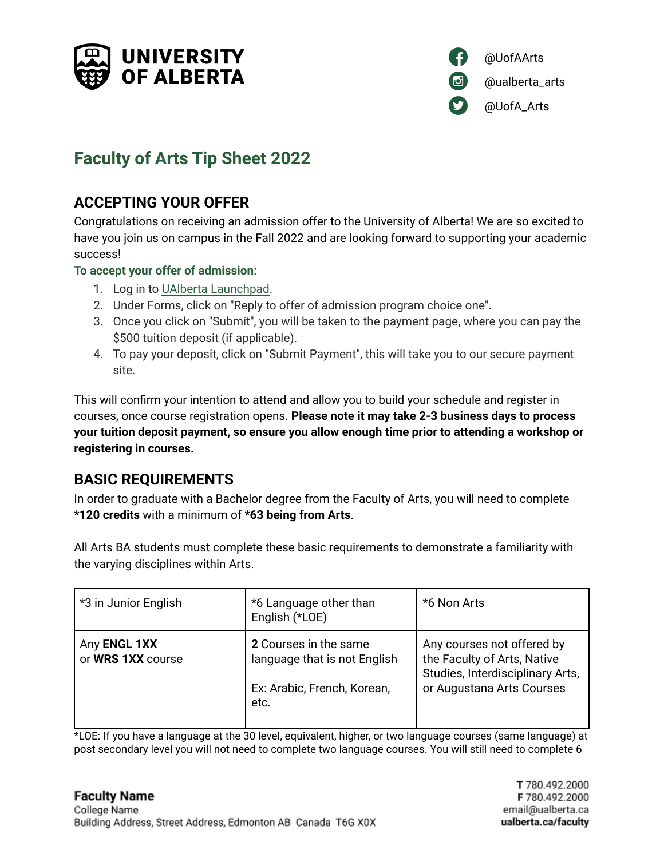



# **Faculty of Arts Tip Sheet 2022**

# **ACCEPTING YOUR OFFER**

Congratulations on receiving an admission offer to the University of Alberta! We are so excited to have you join us on campus in the Fall 2022 and are looking forward to supporting your academic success!

### **To accept your offer of admission:**

- 1. Log in to UAlberta [Launchpad.](https://apply.ualberta.ca/portal/status)
- 2. Under Forms, click on "Reply to offer of admission program choice one".
- 3. Once you click on "Submit", you will be taken to the payment page, where you can pay the \$500 tuition deposit (if applicable).
- 4. To pay your deposit, click on "Submit Payment", this will take you to our secure payment site.

This will confirm your intention to attend and allow you to build your schedule and register in courses, once course registration opens. **Please note it may take 2-3 business days to process your tuition deposit payment, so ensure you allow enough time prior to attending a workshop or registering in courses.**

# **BASIC REQUIREMENTS**

In order to graduate with a Bachelor degree from the Faculty of Arts, you will need to complete **\*120 credits** with a minimum of **\*63 being from Arts**.

All Arts BA students must complete these basic requirements to demonstrate a familiarity with the varying disciplines within Arts.

| *3 in Junior English              | *6 Language other than<br>English (*LOE)                                                     | *6 Non Arts                                                                                                                |
|-----------------------------------|----------------------------------------------------------------------------------------------|----------------------------------------------------------------------------------------------------------------------------|
| Any ENGL 1XX<br>or WRS 1XX course | 2 Courses in the same<br>language that is not English<br>Ex: Arabic, French, Korean,<br>etc. | Any courses not offered by<br>the Faculty of Arts, Native<br>Studies, Interdisciplinary Arts,<br>or Augustana Arts Courses |

\*LOE: If you have a language at the 30 level, equivalent, higher, or two language courses (same language) at post secondary level you will not need to complete two language courses. You will still need to complete 6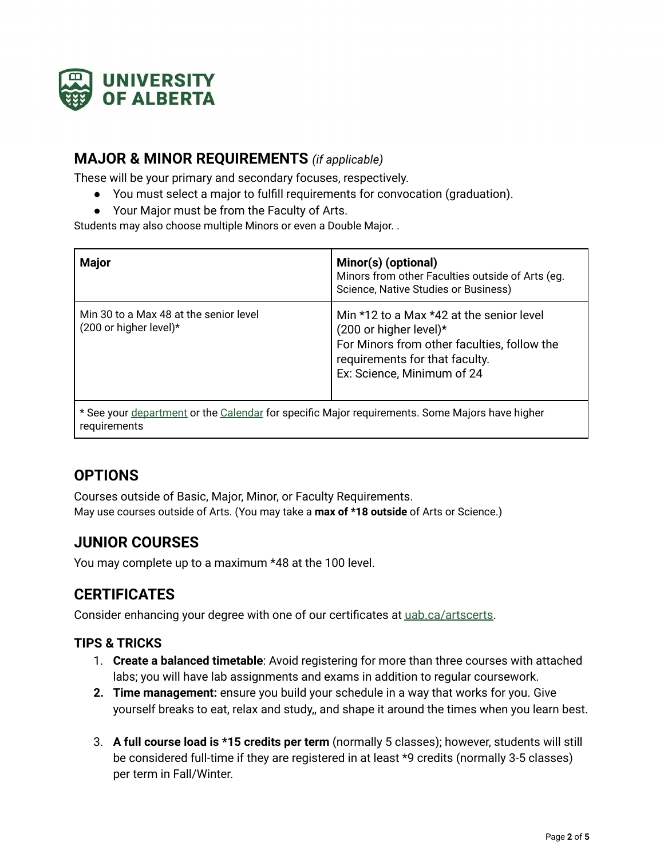

### **MAJOR & MINOR REQUIREMENTS** *(if applicable)*

These will be your primary and secondary focuses, respectively.

- You must select a major to fulfill requirements for convocation (graduation).
- Your Major must be from the Faculty of Arts.

Students may also choose multiple Minors or even a Double Major. .

| <b>Major</b>                                                                                                   | Minor(s) (optional)<br>Minors from other Faculties outside of Arts (eg.<br>Science, Native Studies or Business)                                                                                  |  |
|----------------------------------------------------------------------------------------------------------------|--------------------------------------------------------------------------------------------------------------------------------------------------------------------------------------------------|--|
| Min 30 to a Max 48 at the senior level<br>$(200 \text{ or higher level})$ *                                    | Min $*12$ to a Max $*42$ at the senior level<br>$(200 \text{ or higher level})$ *<br>For Minors from other faculties, follow the<br>requirements for that faculty.<br>Ex: Science, Minimum of 24 |  |
| * See your department or the Calendar for specific Major requirements. Some Majors have higher<br>requirements |                                                                                                                                                                                                  |  |

# **OPTIONS**

Courses outside of Basic, Major, Minor, or Faculty Requirements. May use courses outside of Arts. (You may take a **max of \*18 outside** of Arts or Science.)

# **JUNIOR COURSES**

You may complete up to a maximum \*48 at the 100 level.

# **CERTIFICATES**

Consider enhancing your degree with one of our certificates at [uab.ca/artscerts.](http://uab.ca/artscerts)

### **TIPS & TRICKS**

- 1. **Create a balanced timetable**: Avoid registering for more than three courses with attached labs; you will have lab assignments and exams in addition to regular coursework.
- **2. Time management:** ensure you build your schedule in a way that works for you. Give yourself breaks to eat, relax and study,, and shape it around the times when you learn best.
- 3. **A full course load is \*15 credits per term** (normally 5 classes); however, students will still be considered full-time if they are registered in at least \*9 credits (normally 3-5 classes) per term in Fall/Winter.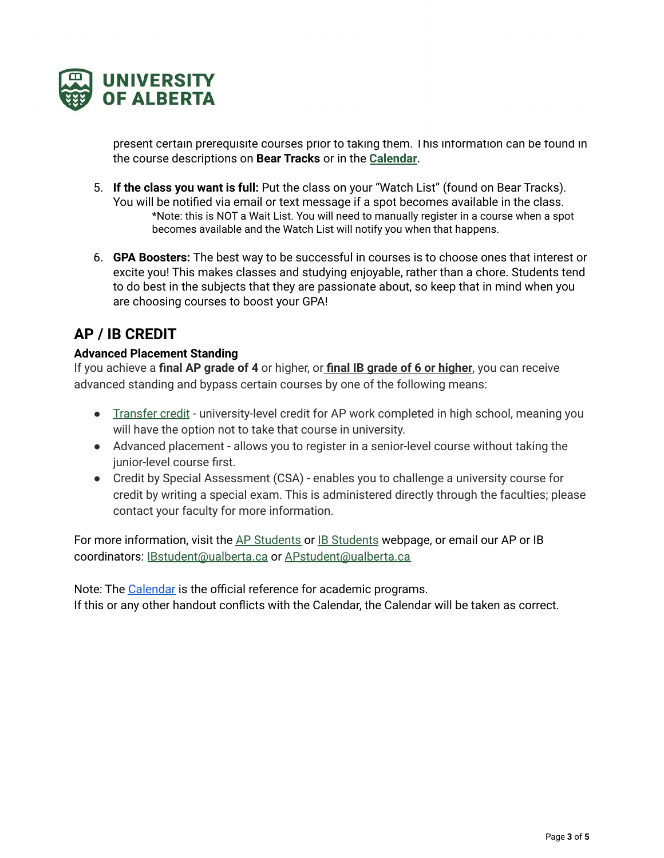

present certain prerequisite courses prior to taking them. This information can be found in the course descriptions on **Bear Tracks** or in the **[Calendar](https://calendar.ualberta.ca/)**.

- 5. **If the class you want is full:** Put the class on your "Watch List" (found on Bear Tracks). You will be notified via email or text message if a spot becomes available in the class. \*Note: this is NOT a Wait List. You will need to manually register in a course when a spot becomes available and the Watch List will notify you when that happens.
- 6. **GPA Boosters:** The best way to be successful in courses is to choose ones that interest or excite you! This makes classes and studying enjoyable, rather than a chore. Students tend to do best in the subjects that they are passionate about, so keep that in mind when you are choosing courses to boost your GPA!

# **AP / IB CREDIT**

### **Advanced Placement Standing**

If you achieve a **final AP grade of 4** or higher, or **final IB grade of 6 or higher**, you can receive advanced standing and bypass certain courses by one of the following means:

- [Transfer](https://www.ualberta.ca/admissions/undergraduate/resources/ap-students/advanced-standing-ap-courses.html) credit university-level credit for AP work completed in high school, meaning you will have the option not to take that course in university.
- Advanced placement allows you to register in a senior-level course without taking the junior-level course first.
- Credit by Special Assessment (CSA) enables you to challenge a university course for credit by writing a special exam. This is administered directly through the faculties; please contact your faculty for more information.

For more information, visit the AP [Students](https://www.ualberta.ca/admissions/undergraduate/resources/ap-students/index.html?) or IB [Students](https://www.ualberta.ca/admissions/undergraduate/resources/ib-students/index.html?) webpage, or email our AP or IB coordinators: [IBstudent@ualberta.ca](mailto:IBstudent@ualberta.ca) or [APstudent@ualberta.ca](mailto:APstudent@ualberta.ca)

Note: The [Calendar](https://calendar.ualberta.ca/) is the official reference for academic programs. If this or any other handout conflicts with the Calendar, the Calendar will be taken as correct.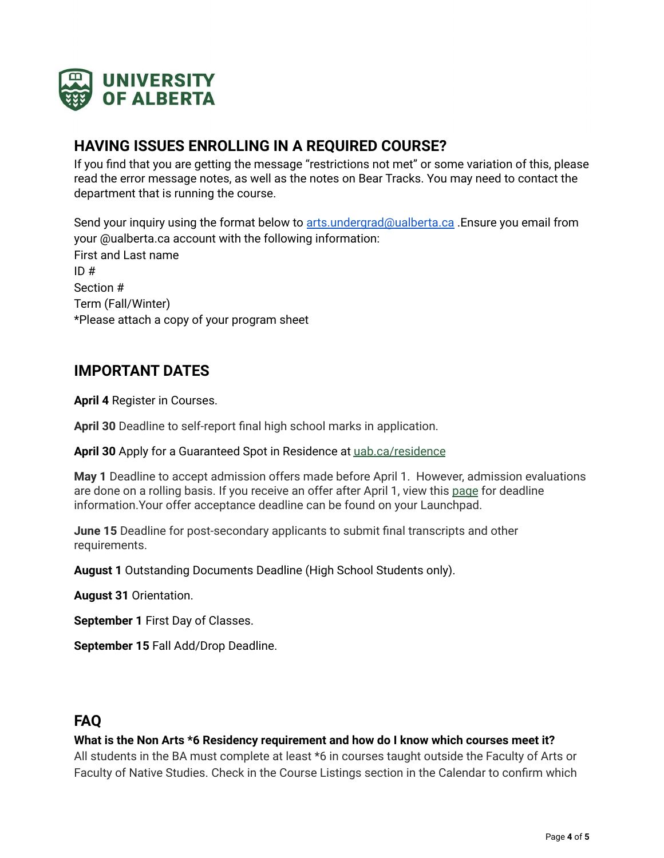

### **HAVING ISSUES ENROLLING IN A REQUIRED COURSE?**

If you find that you are getting the message "restrictions not met" or some variation of this, please read the error message notes, as well as the notes on Bear Tracks. You may need to contact the department that is running the course.

Send your inquiry using the format below to [arts.undergrad@ualberta.ca](mailto:arts.undergrad@ualberta.ca) .Ensure you email from your @ualberta.ca account with the following information: First and Last name  $ID#$ Section # Term (Fall/Winter) \*Please attach a copy of your program sheet

### **IMPORTANT DATES**

**April 4** Register in Courses.

**April 30** Deadline to self-report final high school marks in application.

**April 30** Apply for a Guaranteed Spot in Residence at [uab.ca/residence](https://www.ualberta.ca/residence/index.html)

**May 1** Deadline to accept admission offers made before April 1. However, admission evaluations are done on a rolling basis. If you receive an offer after April 1, view this [page](https://www.ualberta.ca/admissions/undergraduate/admission/after-you-apply/how-to-accept-your-offer/index.html) for deadline information.Your offer acceptance deadline can be found on your Launchpad.

**June 15** Deadline for post-secondary applicants to submit final transcripts and other requirements.

**August 1** Outstanding Documents Deadline (High School Students only).

**August 31** Orientation.

**September 1** First Day of Classes.

**September 15** Fall Add/Drop Deadline.

# **FAQ**

### **What is the Non Arts \*6 Residency requirement and how do I know which courses meet it?**

All students in the BA must complete at least \*6 in courses taught outside the Faculty of Arts or Faculty of Native Studies. Check in the Course Listings section in the Calendar to confirm which